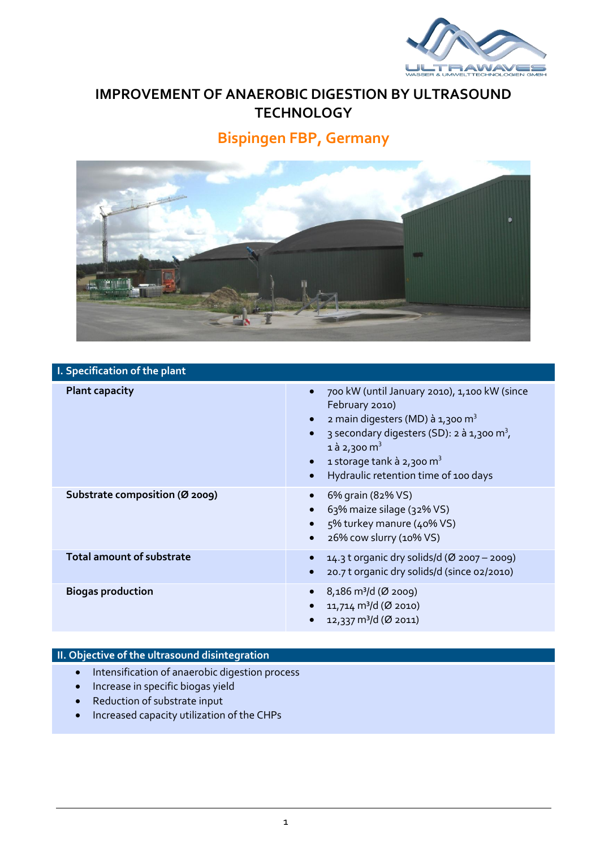

## **IMPROVEMENT OF ANAEROBIC DIGESTION BY ULTRASOUND TECHNOLOGY**

# **Bispingen FBP, Germany**



### **I. Specification of the plant**

| <b>Plant capacity</b>            | 700 kW (until January 2010), 1,100 kW (since<br>$\bullet$<br>February 2010)<br>2 main digesters (MD) à 1,300 m <sup>3</sup><br>$\bullet$<br>3 secondary digesters (SD): 2 à 1,300 m <sup>3</sup> ,<br>$\bullet$<br>1 à 2,300 m <sup>3</sup><br>1 storage tank à 2,300 m <sup>3</sup><br>$\bullet$<br>Hydraulic retention time of 100 days<br>$\bullet$ |
|----------------------------------|--------------------------------------------------------------------------------------------------------------------------------------------------------------------------------------------------------------------------------------------------------------------------------------------------------------------------------------------------------|
| Substrate composition (Ø 2009)   | 6% grain (82% VS)<br>63% maize silage (32% VS)<br>5% turkey manure (40% VS)<br>$\bullet$<br>26% cow slurry (10% VS)<br>$\bullet$                                                                                                                                                                                                                       |
| <b>Total amount of substrate</b> | 14.3 t organic dry solids/d (Ø 2007 – 2009)<br>$\bullet$<br>20.7 t organic dry solids/d (since 02/2010)<br>$\bullet$                                                                                                                                                                                                                                   |
| <b>Biogas production</b>         | 8,186 m <sup>3</sup> /d (Ø 2009)<br>11,714 m <sup>3</sup> /d (Ø 2010)<br>12,337 m <sup>3</sup> /d (Ø 2011)                                                                                                                                                                                                                                             |

#### **II. Objective of the ultrasound disintegration**

- Intensification of anaerobic digestion process
- Increase in specific biogas yield
- Reduction of substrate input
- Increased capacity utilization of the CHPs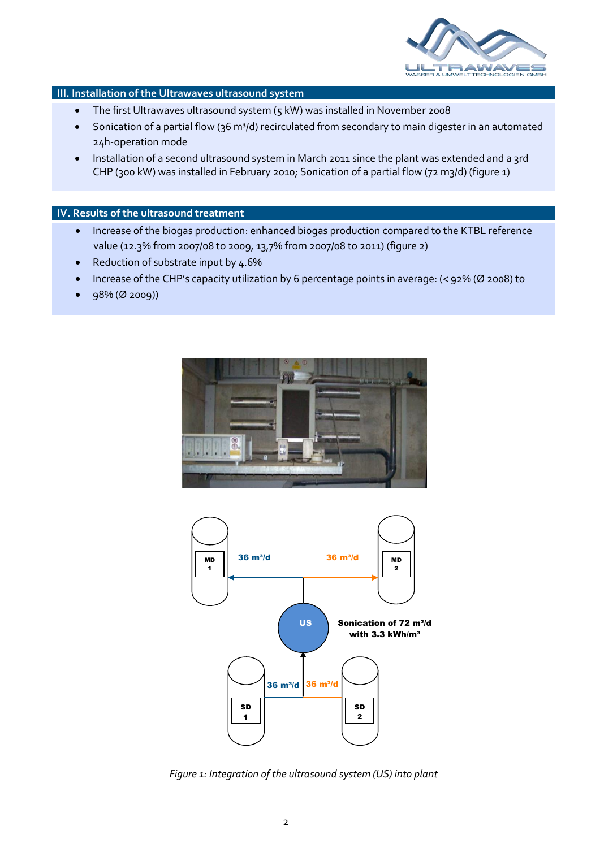

#### **III. Installation of the Ultrawaves ultrasound system**

- The first Ultrawaves ultrasound system (5 kW) was installed in November 2008
- Sonication of a partial flow (36 m<sup>3</sup>/d) recirculated from secondary to main digester in an automated 24h-operation mode
- Installation of a second ultrasound system in March 2011 since the plant was extended and a 3rd CHP (300 kW) was installed in February 2010; Sonication of a partial flow (72 m3/d) (figure 1)

#### **IV. Results of the ultrasound treatment**

- Increase of the biogas production: enhanced biogas production compared to the KTBL reference value (12.3% from 2007/08 to 2009, 13,7% from 2007/08 to 2011) (figure 2)
- Reduction of substrate input by 4.6%
- Increase of the CHP's capacity utilization by 6 percentage points in average: (< 92% (Ø 2008) to
- 98% (Ø 2009))





*Figure 1: Integration of the ultrasound system (US) into plant*